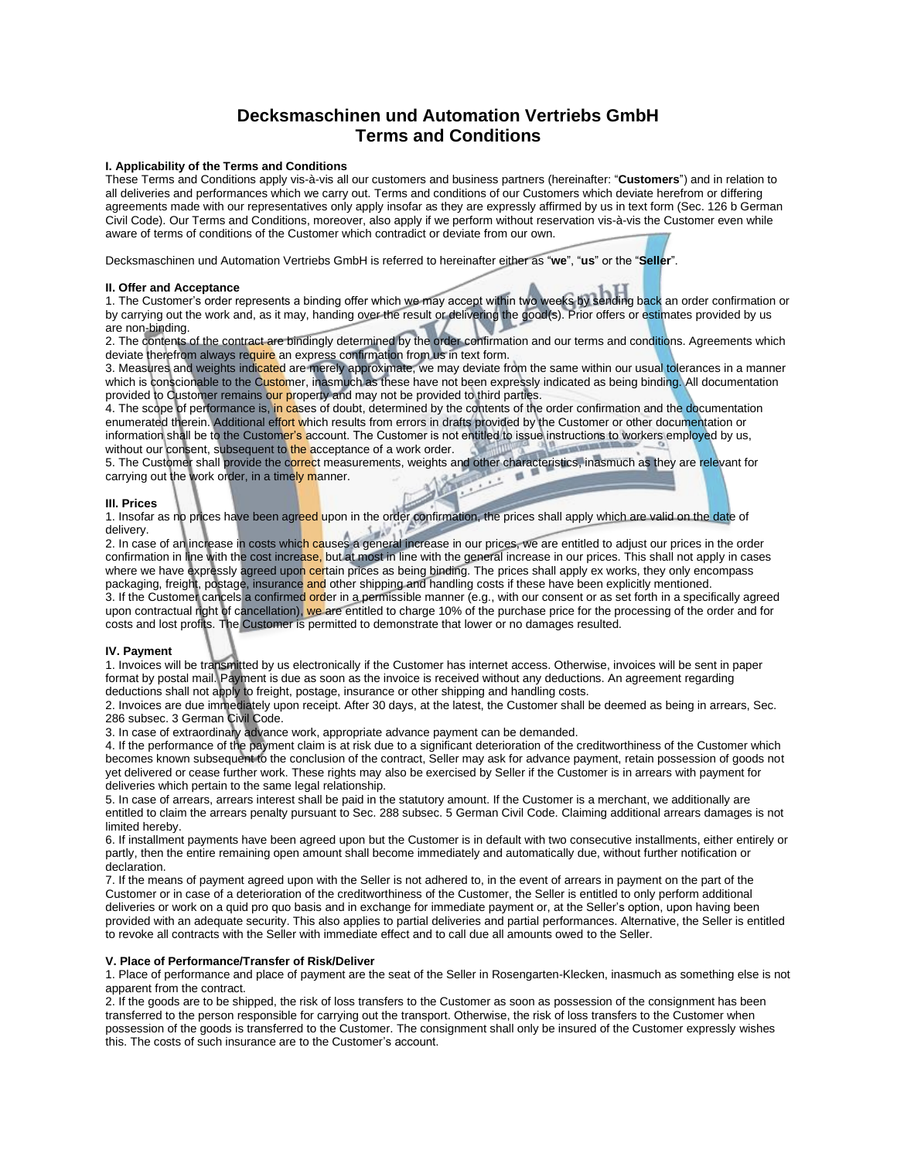# **Decksmaschinen und Automation Vertriebs GmbH Terms and Conditions**

# **I. Applicability of the Terms and Conditions**

These Terms and Conditions apply vis-à-vis all our customers and business partners (hereinafter: "**Customers**") and in relation to all deliveries and performances which we carry out. Terms and conditions of our Customers which deviate herefrom or differing agreements made with our representatives only apply insofar as they are expressly affirmed by us in text form (Sec. 126 b German Civil Code). Our Terms and Conditions, moreover, also apply if we perform without reservation vis-à-vis the Customer even while aware of terms of conditions of the Customer which contradict or deviate from our own.

Decksmaschinen und Automation Vertriebs GmbH is referred to hereinafter either as "**we**", "**us**" or the "**Seller**".

# **II. Offer and Acceptance**

1. Offer and Acceptance<br>1. The Customer's order represents a binding offer which we may accept within two weeks by sending back an order confirmation or by carrying out the work and, as it may, handing over the result or delivering the good(s). Prior offers or estimates provided by us are non-binding.

2. The contents of the contract are bindingly determined by the order confirmation and our terms and conditions. Agreements which deviate therefrom always require an express confirmation from us in text form.

3. Measures and weights indicated are merely approximate, we may deviate from the same within our usual tolerances in a manner which is conscionable to the Customer, inasmuch as these have not been expressly indicated as being binding. All documentation provided to Customer remains our property and may not be provided to third parties.

4. The scope of performance is, in cases of doubt, determined by the contents of the order confirmation and the documentation enumerated therein. Additional effort which results from errors in drafts provided by the Customer or other documentation or information shall be to the Customer's account. The Customer is not entitled to issue instructions to workers employed by us, without our consent, subsequent to the acceptance of a work order.

5. The Customer shall provide the correct measurements, weights and other characteristics, inasmuch as they are relevant for carrying out the work order, in a timely manner. **o** 

# **III. Prices**

1. Insofar as no prices have been agreed upon in the order confirmation, the prices shall apply which are valid on the date of delivery.

delivery.<br>2. In case of an increase in costs which causes a general increase in our prices, we are entitled to adjust our prices in the order confirmation in line with the cost increase, but at most in line with the general increase in our prices. This shall not apply in cases where we have expressly agreed upon certain prices as being binding. The prices shall apply ex works, they only encompass packaging, freight, postage, insurance and other shipping and handling costs if these have been explicitly mentioned. 3. If the Customer cancels a confirmed order in a permissible manner (e.g., with our consent or as set forth in a specifically agreed upon contractual right of cancellation), we are entitled to charge 10% of the purchase price for the processing of the order and for costs and lost profits. The Customer is permitted to demonstrate that lower or no damages resulted.

# **IV. Payment**

1. Invoices will be transmitted by us electronically if the Customer has internet access. Otherwise, invoices will be sent in paper format by postal mail. Payment is due as soon as the invoice is received without any deductions. An agreement regarding deductions shall not apply to freight, postage, insurance or other shipping and handling costs.

2. Invoices are due immediately upon receipt. After 30 days, at the latest, the Customer shall be deemed as being in arrears, Sec. 286 subsec. 3 German Civil Code.

3. In case of extraordinary advance work, appropriate advance payment can be demanded.

4. If the performance of the payment claim is at risk due to a significant deterioration of the creditworthiness of the Customer which becomes known subsequent to the conclusion of the contract, Seller may ask for advance payment, retain possession of goods not yet delivered or cease further work. These rights may also be exercised by Seller if the Customer is in arrears with payment for deliveries which pertain to the same legal relationship.

5. In case of arrears, arrears interest shall be paid in the statutory amount. If the Customer is a merchant, we additionally are entitled to claim the arrears penalty pursuant to Sec. 288 subsec. 5 German Civil Code. Claiming additional arrears damages is not limited hereby.

6. If installment payments have been agreed upon but the Customer is in default with two consecutive installments, either entirely or partly, then the entire remaining open amount shall become immediately and automatically due, without further notification or declaration.

7. If the means of payment agreed upon with the Seller is not adhered to, in the event of arrears in payment on the part of the Customer or in case of a deterioration of the creditworthiness of the Customer, the Seller is entitled to only perform additional deliveries or work on a quid pro quo basis and in exchange for immediate payment or, at the Seller's option, upon having been provided with an adequate security. This also applies to partial deliveries and partial performances. Alternative, the Seller is entitled to revoke all contracts with the Seller with immediate effect and to call due all amounts owed to the Seller.

#### **V. Place of Performance/Transfer of Risk/Deliver**

1. Place of performance and place of payment are the seat of the Seller in Rosengarten-Klecken, inasmuch as something else is not apparent from the contract.

2. If the goods are to be shipped, the risk of loss transfers to the Customer as soon as possession of the consignment has been transferred to the person responsible for carrying out the transport. Otherwise, the risk of loss transfers to the Customer when possession of the goods is transferred to the Customer. The consignment shall only be insured of the Customer expressly wishes this. The costs of such insurance are to the Customer's account.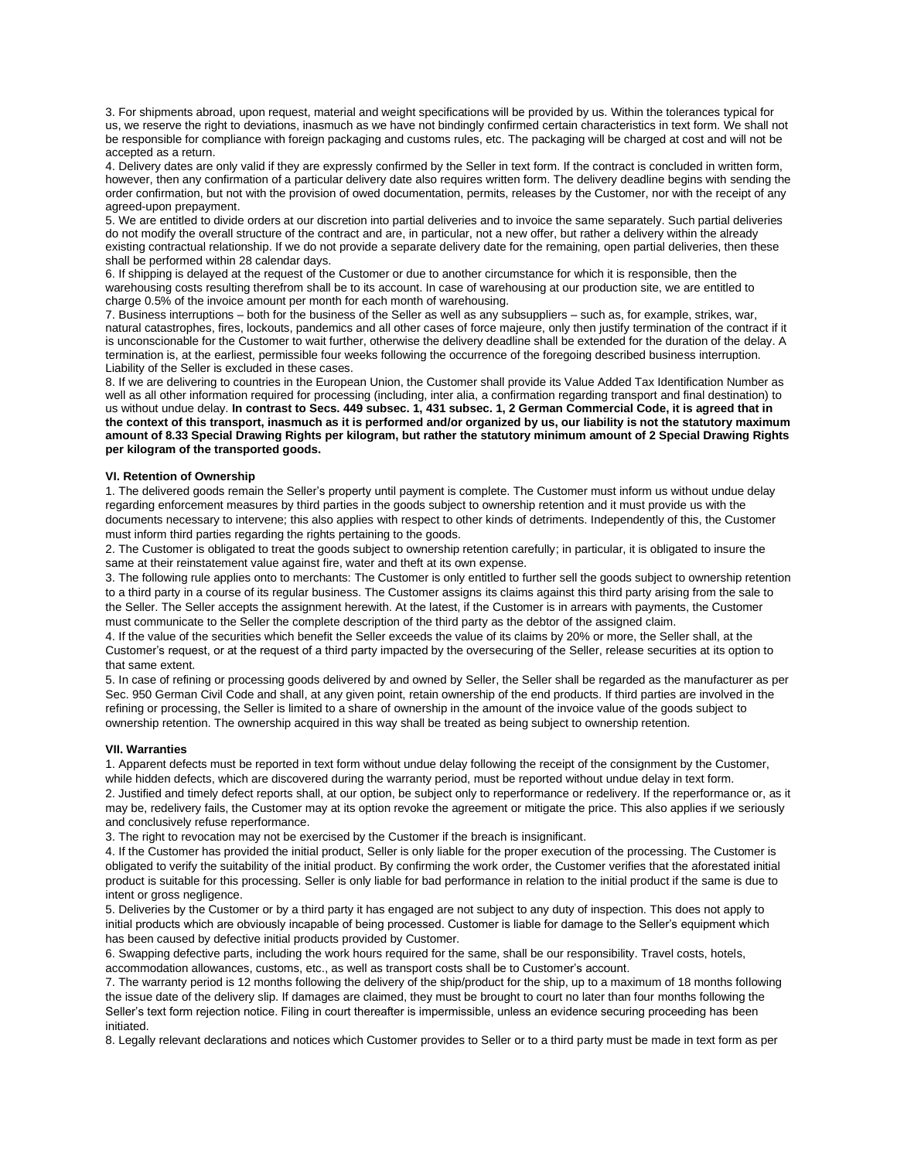3. For shipments abroad, upon request, material and weight specifications will be provided by us. Within the tolerances typical for us, we reserve the right to deviations, inasmuch as we have not bindingly confirmed certain characteristics in text form. We shall not be responsible for compliance with foreign packaging and customs rules, etc. The packaging will be charged at cost and will not be accepted as a return.

4. Delivery dates are only valid if they are expressly confirmed by the Seller in text form. If the contract is concluded in written form, however, then any confirmation of a particular delivery date also requires written form. The delivery deadline begins with sending the order confirmation, but not with the provision of owed documentation, permits, releases by the Customer, nor with the receipt of any agreed-upon prepayment.

5. We are entitled to divide orders at our discretion into partial deliveries and to invoice the same separately. Such partial deliveries do not modify the overall structure of the contract and are, in particular, not a new offer, but rather a delivery within the already existing contractual relationship. If we do not provide a separate delivery date for the remaining, open partial deliveries, then these shall be performed within 28 calendar days.

6. If shipping is delayed at the request of the Customer or due to another circumstance for which it is responsible, then the warehousing costs resulting therefrom shall be to its account. In case of warehousing at our production site, we are entitled to charge 0.5% of the invoice amount per month for each month of warehousing.

7. Business interruptions – both for the business of the Seller as well as any subsuppliers – such as, for example, strikes, war, natural catastrophes, fires, lockouts, pandemics and all other cases of force majeure, only then justify termination of the contract if it is unconscionable for the Customer to wait further, otherwise the delivery deadline shall be extended for the duration of the delay. A termination is, at the earliest, permissible four weeks following the occurrence of the foregoing described business interruption. Liability of the Seller is excluded in these cases.

8. If we are delivering to countries in the European Union, the Customer shall provide its Value Added Tax Identification Number as well as all other information required for processing (including, inter alia, a confirmation regarding transport and final destination) to us without undue delay. **In contrast to Secs. 449 subsec. 1, 431 subsec. 1, 2 German Commercial Code, it is agreed that in the context of this transport, inasmuch as it is performed and/or organized by us, our liability is not the statutory maximum amount of 8.33 Special Drawing Rights per kilogram, but rather the statutory minimum amount of 2 Special Drawing Rights per kilogram of the transported goods.**

# **VI. Retention of Ownership**

1. The delivered goods remain the Seller's property until payment is complete. The Customer must inform us without undue delay regarding enforcement measures by third parties in the goods subject to ownership retention and it must provide us with the documents necessary to intervene; this also applies with respect to other kinds of detriments. Independently of this, the Customer must inform third parties regarding the rights pertaining to the goods.

2. The Customer is obligated to treat the goods subject to ownership retention carefully; in particular, it is obligated to insure the same at their reinstatement value against fire, water and theft at its own expense.

3. The following rule applies onto to merchants: The Customer is only entitled to further sell the goods subject to ownership retention to a third party in a course of its regular business. The Customer assigns its claims against this third party arising from the sale to the Seller. The Seller accepts the assignment herewith. At the latest, if the Customer is in arrears with payments, the Customer must communicate to the Seller the complete description of the third party as the debtor of the assigned claim.

4. If the value of the securities which benefit the Seller exceeds the value of its claims by 20% or more, the Seller shall, at the Customer's request, or at the request of a third party impacted by the oversecuring of the Seller, release securities at its option to that same extent.

5. In case of refining or processing goods delivered by and owned by Seller, the Seller shall be regarded as the manufacturer as per Sec. 950 German Civil Code and shall, at any given point, retain ownership of the end products. If third parties are involved in the refining or processing, the Seller is limited to a share of ownership in the amount of the invoice value of the goods subject to ownership retention. The ownership acquired in this way shall be treated as being subject to ownership retention.

#### **VII. Warranties**

1. Apparent defects must be reported in text form without undue delay following the receipt of the consignment by the Customer, while hidden defects, which are discovered during the warranty period, must be reported without undue delay in text form. 2. Justified and timely defect reports shall, at our option, be subject only to reperformance or redelivery. If the reperformance or, as it may be, redelivery fails, the Customer may at its option revoke the agreement or mitigate the price. This also applies if we seriously and conclusively refuse reperformance.

3. The right to revocation may not be exercised by the Customer if the breach is insignificant.

4. If the Customer has provided the initial product, Seller is only liable for the proper execution of the processing. The Customer is obligated to verify the suitability of the initial product. By confirming the work order, the Customer verifies that the aforestated initial product is suitable for this processing. Seller is only liable for bad performance in relation to the initial product if the same is due to intent or gross negligence.

5. Deliveries by the Customer or by a third party it has engaged are not subject to any duty of inspection. This does not apply to initial products which are obviously incapable of being processed. Customer is liable for damage to the Seller's equipment which has been caused by defective initial products provided by Customer.

6. Swapping defective parts, including the work hours required for the same, shall be our responsibility. Travel costs, hotels, accommodation allowances, customs, etc., as well as transport costs shall be to Customer's account.

7. The warranty period is 12 months following the delivery of the ship/product for the ship, up to a maximum of 18 months following the issue date of the delivery slip. If damages are claimed, they must be brought to court no later than four months following the Seller's text form rejection notice. Filing in court thereafter is impermissible, unless an evidence securing proceeding has been initiated.

8. Legally relevant declarations and notices which Customer provides to Seller or to a third party must be made in text form as per